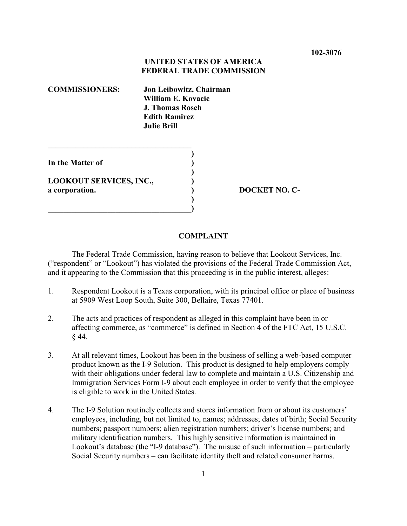## **UNITED STATES OF AMERICA FEDERAL TRADE COMMISSION**

**COMMISSIONERS: Jon Leibowitz, Chairman William E. Kovacic J. Thomas Rosch Edith Ramirez Julie Brill**

**\_\_\_\_\_\_\_\_\_\_\_\_\_\_\_\_\_\_\_\_\_\_\_\_\_\_\_\_\_\_\_\_\_\_\_\_**

**\_\_\_\_\_\_\_\_\_\_\_\_\_\_\_\_\_\_\_\_\_\_\_\_\_\_\_\_\_\_\_\_\_\_\_\_)**

**In the Matter of )**

**LOOKOUT SERVICES, INC., ) a corporation. ) DOCKET NO. C-** 

## **COMPLAINT**

**)**

**)**

**)**

The Federal Trade Commission, having reason to believe that Lookout Services, Inc. ("respondent" or "Lookout") has violated the provisions of the Federal Trade Commission Act, and it appearing to the Commission that this proceeding is in the public interest, alleges:

- 1. Respondent Lookout is a Texas corporation, with its principal office or place of business at 5909 West Loop South, Suite 300, Bellaire, Texas 77401.
- 2. The acts and practices of respondent as alleged in this complaint have been in or affecting commerce, as "commerce" is defined in Section 4 of the FTC Act, 15 U.S.C. § 44.
- 3. At all relevant times, Lookout has been in the business of selling a web-based computer product known as the I-9 Solution. This product is designed to help employers comply with their obligations under federal law to complete and maintain a U.S. Citizenship and Immigration Services Form I-9 about each employee in order to verify that the employee is eligible to work in the United States.
- 4. The I-9 Solution routinely collects and stores information from or about its customers' employees, including, but not limited to, names; addresses; dates of birth; Social Security numbers; passport numbers; alien registration numbers; driver's license numbers; and military identification numbers. This highly sensitive information is maintained in Lookout's database (the "I-9 database"). The misuse of such information – particularly Social Security numbers – can facilitate identity theft and related consumer harms.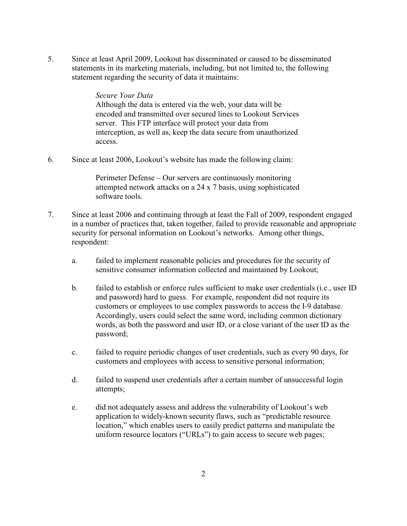5. Since at least April 2009, Lookout has disseminated or caused to be disseminated statements in its marketing materials, including, but not limited to, the following statement regarding the security of data it maintains:

## *Secure Your Data*

Although the data is entered via the web, your data will be encoded and transmitted over secured lines to Lookout Services server. This FTP interface will protect your data from interception, as well as, keep the data secure from unauthorized access.

6. Since at least 2006, Lookout's website has made the following claim:

Perimeter Defense – Our servers are continuously monitoring attempted network attacks on a 24 x 7 basis, using sophisticated software tools.

- 7. Since at least 2006 and continuing through at least the Fall of 2009, respondent engaged in a number of practices that, taken together, failed to provide reasonable and appropriate security for personal information on Lookout's networks. Among other things, respondent:
	- a. failed to implement reasonable policies and procedures for the security of sensitive consumer information collected and maintained by Lookout;
	- b. failed to establish or enforce rules sufficient to make user credentials (i.e., user ID and password) hard to guess. For example, respondent did not require its customers or employees to use complex passwords to access the I-9 database. Accordingly, users could select the same word, including common dictionary words, as both the password and user ID, or a close variant of the user ID as the password;
	- c. failed to require periodic changes of user credentials, such as every 90 days, for customers and employees with access to sensitive personal information;
	- d. failed to suspend user credentials after a certain number of unsuccessful login attempts;
	- e. did not adequately assess and address the vulnerability of Lookout's web application to widely-known security flaws, such as "predictable resource location," which enables users to easily predict patterns and manipulate the uniform resource locators ("URLs") to gain access to secure web pages;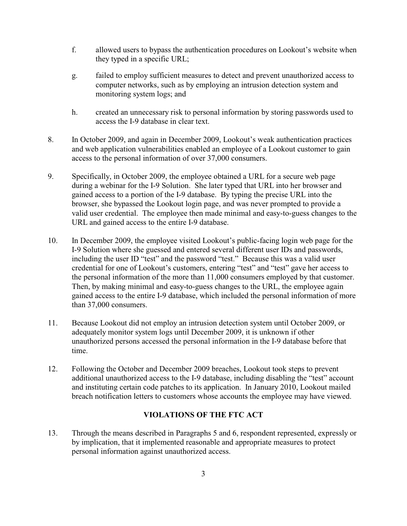- f. allowed users to bypass the authentication procedures on Lookout's website when they typed in a specific URL;
- g. failed to employ sufficient measures to detect and prevent unauthorized access to computer networks, such as by employing an intrusion detection system and monitoring system logs; and
- h. created an unnecessary risk to personal information by storing passwords used to access the I-9 database in clear text.
- 8. In October 2009, and again in December 2009, Lookout's weak authentication practices and web application vulnerabilities enabled an employee of a Lookout customer to gain access to the personal information of over 37,000 consumers.
- 9. Specifically, in October 2009, the employee obtained a URL for a secure web page during a webinar for the I-9 Solution. She later typed that URL into her browser and gained access to a portion of the I-9 database. By typing the precise URL into the browser, she bypassed the Lookout login page, and was never prompted to provide a valid user credential. The employee then made minimal and easy-to-guess changes to the URL and gained access to the entire I-9 database.
- 10. In December 2009, the employee visited Lookout's public-facing login web page for the I-9 Solution where she guessed and entered several different user IDs and passwords, including the user ID "test" and the password "test." Because this was a valid user credential for one of Lookout's customers, entering "test" and "test" gave her access to the personal information of the more than 11,000 consumers employed by that customer. Then, by making minimal and easy-to-guess changes to the URL, the employee again gained access to the entire I-9 database, which included the personal information of more than 37,000 consumers.
- 11. Because Lookout did not employ an intrusion detection system until October 2009, or adequately monitor system logs until December 2009, it is unknown if other unauthorized persons accessed the personal information in the I-9 database before that time.
- 12. Following the October and December 2009 breaches, Lookout took steps to prevent additional unauthorized access to the I-9 database, including disabling the "test" account and instituting certain code patches to its application. In January 2010, Lookout mailed breach notification letters to customers whose accounts the employee may have viewed.

## **VIOLATIONS OF THE FTC ACT**

13. Through the means described in Paragraphs 5 and 6, respondent represented, expressly or by implication, that it implemented reasonable and appropriate measures to protect personal information against unauthorized access.